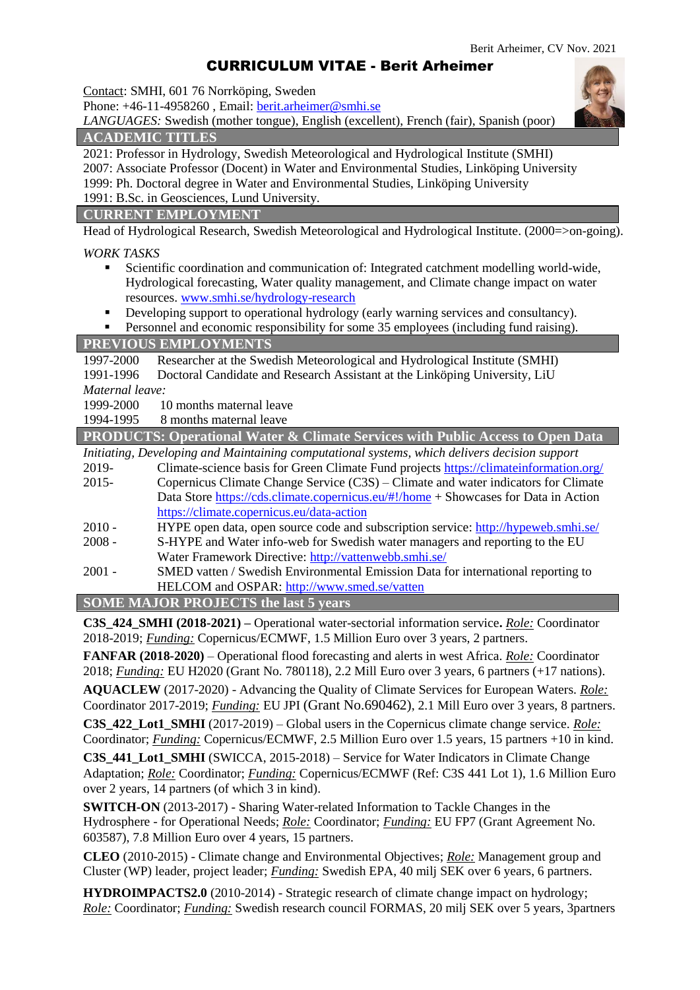## CURRICULUM VITAE - Berit Arheimer

| Contact: SMHI, 601 76 Norrköping, Sweden<br>Phone: +46-11-4958260, Email: berit.arheimer@smhi.se<br>LANGUAGES: Swedish (mother tongue), English (excellent), French (fair), Spanish (poor)<br><b>ACADEMIC TITLES</b><br>2021: Professor in Hydrology, Swedish Meteorological and Hydrological Institute (SMHI)<br>2007: Associate Professor (Docent) in Water and Environmental Studies, Linköping University<br>1999: Ph. Doctoral degree in Water and Environmental Studies, Linköping University<br>1991: B.Sc. in Geosciences, Lund University.                                                                                                                                                                                 |
|-------------------------------------------------------------------------------------------------------------------------------------------------------------------------------------------------------------------------------------------------------------------------------------------------------------------------------------------------------------------------------------------------------------------------------------------------------------------------------------------------------------------------------------------------------------------------------------------------------------------------------------------------------------------------------------------------------------------------------------|
| <b>CURRENT EMPLOYMENT</b>                                                                                                                                                                                                                                                                                                                                                                                                                                                                                                                                                                                                                                                                                                           |
| Head of Hydrological Research, Swedish Meteorological and Hydrological Institute. (2000=>on-going).                                                                                                                                                                                                                                                                                                                                                                                                                                                                                                                                                                                                                                 |
| <b>WORK TASKS</b><br>Scientific coordination and communication of: Integrated catchment modelling world-wide,<br>Hydrological forecasting, Water quality management, and Climate change impact on water<br>resources. www.smhi.se/hydrology-research<br>Developing support to operational hydrology (early warning services and consultancy).<br>٠<br>Personnel and economic responsibility for some 35 employees (including fund raising).                                                                                                                                                                                                                                                                                         |
| <b>PREVIOUS EMPLOYMENTS</b>                                                                                                                                                                                                                                                                                                                                                                                                                                                                                                                                                                                                                                                                                                         |
| 1997-2000<br>Researcher at the Swedish Meteorological and Hydrological Institute (SMHI)<br>1991-1996<br>Doctoral Candidate and Research Assistant at the Linköping University, LiU<br>Maternal leave:<br>10 months maternal leave<br>1999-2000                                                                                                                                                                                                                                                                                                                                                                                                                                                                                      |
| 8 months maternal leave<br>1994-1995                                                                                                                                                                                                                                                                                                                                                                                                                                                                                                                                                                                                                                                                                                |
| <b>PRODUCTS: Operational Water &amp; Climate Services with Public Access to Open Data</b>                                                                                                                                                                                                                                                                                                                                                                                                                                                                                                                                                                                                                                           |
| Initiating, Developing and Maintaining computational systems, which delivers decision support<br>Climate-science basis for Green Climate Fund projects https://climateinformation.org/<br>2019-<br>2015-<br>Copernicus Climate Change Service (C3S) – Climate and water indicators for Climate<br>Data Store https://cds.climate.copernicus.eu/#!/home + Showcases for Data in Action<br>https://climate.copernicus.eu/data-action<br>HYPE open data, open source code and subscription service: http://hypeweb.smhi.se/<br>$2010 -$<br>$2008 -$<br>S-HYPE and Water info-web for Swedish water managers and reporting to the EU<br>Water Framework Directive: http://vattenwebb.smhi.se/                                           |
| $2001 -$<br>SMED vatten / Swedish Environmental Emission Data for international reporting to                                                                                                                                                                                                                                                                                                                                                                                                                                                                                                                                                                                                                                        |
| HELCOM and OSPAR: http://www.smed.se/vatten<br><b>SOME MAJOR PROJECTS the last 5 years</b>                                                                                                                                                                                                                                                                                                                                                                                                                                                                                                                                                                                                                                          |
|                                                                                                                                                                                                                                                                                                                                                                                                                                                                                                                                                                                                                                                                                                                                     |
| C3S_424_SMHI (2018-2021) – Operational water-sectorial information service. Role: Coordinator<br>2018-2019; <i>Funding:</i> Copernicus/ECMWF, 1.5 Million Euro over 3 years, 2 partners.                                                                                                                                                                                                                                                                                                                                                                                                                                                                                                                                            |
| FANFAR (2018-2020) – Operational flood forecasting and alerts in west Africa. Role: Coordinator<br>2018; <i>Funding</i> : EU H2020 (Grant No. 780118), 2.2 Mill Euro over 3 years, 6 partners (+17 nations).<br>AQUACLEW (2017-2020) - Advancing the Quality of Climate Services for European Waters. Role:<br>Coordinator 2017-2019; <i>Funding:</i> EU JPI (Grant No.690462), 2.1 Mill Euro over 3 years, 8 partners.                                                                                                                                                                                                                                                                                                             |
| C3S_422_Lot1_SMHI (2017-2019) – Global users in the Copernicus climate change service. Role:<br>Coordinator; <i>Funding:</i> Copernicus/ECMWF, 2.5 Million Euro over 1.5 years, 15 partners +10 in kind.<br>C3S_441_Lot1_SMHI (SWICCA, 2015-2018) – Service for Water Indicators in Climate Change<br>Adaptation; <i>Role:</i> Coordinator; <i>Funding:</i> Copernicus/ECMWF (Ref: C3S 441 Lot 1), 1.6 Million Euro<br>over 2 years, 14 partners (of which 3 in kind).<br><b>SWITCH-ON</b> (2013-2017) - Sharing Water-related Information to Tackle Changes in the<br>Hydrosphere - for Operational Needs; Role: Coordinator; <i>Funding</i> : EU FP7 (Grant Agreement No.<br>603587), 7.8 Million Euro over 4 years, 15 partners. |

**CLEO** (2010-2015) - Climate change and Environmental Objectives; *Role:* Management group and Cluster (WP) leader, project leader; *Funding:* Swedish EPA, 40 milj SEK over 6 years, 6 partners.

**HYDROIMPACTS2.0** (2010-2014) - Strategic research of climate change impact on hydrology; *Role:* Coordinator; *Funding:* Swedish research council FORMAS, 20 milj SEK over 5 years, 3partners